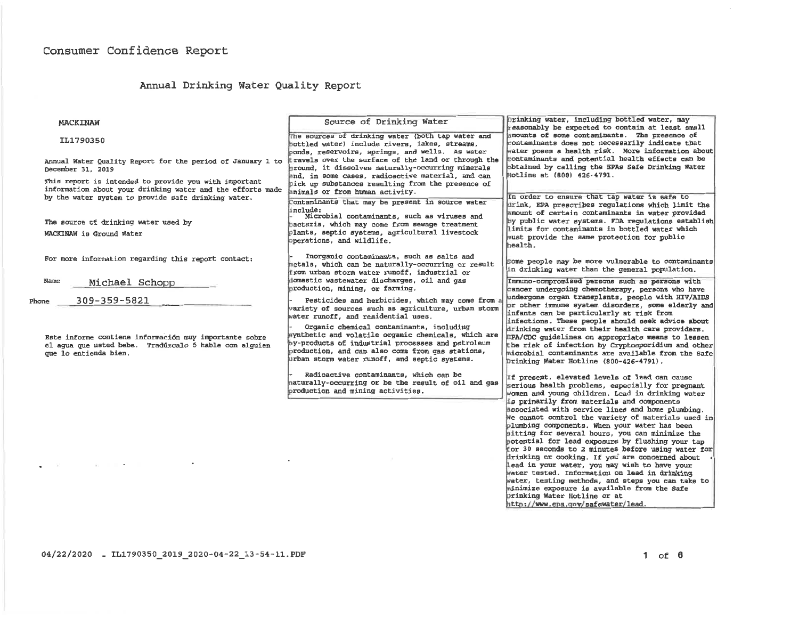# Annual Drinking Water Quality Report

| <b>MACKINAW</b>                                                                                                                                                            | Source of Drinking Water                                                                                                                                                                                                                                                                                                                                                                                  | Drinking water, including bottled water, may<br>reasonably be expected to contain at least small                                                                                                                                                                                                                                                                                                                                                                                                                                                                                                                                                                                                   |  |  |
|----------------------------------------------------------------------------------------------------------------------------------------------------------------------------|-----------------------------------------------------------------------------------------------------------------------------------------------------------------------------------------------------------------------------------------------------------------------------------------------------------------------------------------------------------------------------------------------------------|----------------------------------------------------------------------------------------------------------------------------------------------------------------------------------------------------------------------------------------------------------------------------------------------------------------------------------------------------------------------------------------------------------------------------------------------------------------------------------------------------------------------------------------------------------------------------------------------------------------------------------------------------------------------------------------------------|--|--|
| IL1790350                                                                                                                                                                  | The sources of drinking water (both tap water and<br>bottled water) include rivers, lakes, streams,<br>ponds, reservoirs, springs, and wells. As water                                                                                                                                                                                                                                                    | amounts of some contaminants. The presence of<br>contaminants does not necessarily indicate that<br>Water poses a health risk. More information about                                                                                                                                                                                                                                                                                                                                                                                                                                                                                                                                              |  |  |
| Annual Water Quality Report for the period of January 1 to<br>December 31, 2019                                                                                            | travels over the surface of the land or through the<br>ground, it dissolves naturally-occurring minerals<br>and, in some cases, radioactive material, and can                                                                                                                                                                                                                                             | contaminants and potential health effects can be<br>obtained by calling the EPAs Safe Drinking Water<br>Hotline at (800) 426-4791.                                                                                                                                                                                                                                                                                                                                                                                                                                                                                                                                                                 |  |  |
| This report is intended to provide you with important<br>information about your drinking water and the efforts made<br>by the water system to provide safe drinking water. | pick up substances resulting from the presence of<br>animals or from human activity.<br>Contaminants that may be present in source water                                                                                                                                                                                                                                                                  | In order to ensure that tap water is safe to<br>drink, EPA prescribes requlations which limit the<br>amount of certain contaminants in water provided<br>by public water systems. FDA regulations establish<br>limits for contaminants in bottled water which<br>must provide the same protection for public<br>health.                                                                                                                                                                                                                                                                                                                                                                            |  |  |
| The source of drinking water used by<br>MACKINAW is Ground Water                                                                                                           | include:<br>Microbial contaminants, such as viruses and<br>bacteria, which may come from sewage treatment<br>plants, septic systems, agricultural livestock<br>operations, and wildlife.                                                                                                                                                                                                                  |                                                                                                                                                                                                                                                                                                                                                                                                                                                                                                                                                                                                                                                                                                    |  |  |
| For more information regarding this report contact:                                                                                                                        | Inorganic contaminants, such as salts and<br>metals, which can be naturally-occurring or result<br>from urban storm water runoff, industrial or                                                                                                                                                                                                                                                           | Some people may be more vulnerable to contaminants<br>in drinking water than the general population.                                                                                                                                                                                                                                                                                                                                                                                                                                                                                                                                                                                               |  |  |
| Name<br>Michael Schopp                                                                                                                                                     | domestic wastewater discharges, oil and gas<br>production, mining, or farming.                                                                                                                                                                                                                                                                                                                            | Immuno-compromised persons such as persons with<br>cancer undergoing chemotherapy, persons who have<br>undergone organ transplants, people with HIV/AIDS                                                                                                                                                                                                                                                                                                                                                                                                                                                                                                                                           |  |  |
| 309-359-5821<br>Phone<br>Este informe contiene información muy importante sobre<br>el aqua que usted bebe. Tradúzcalo ó hable con alguien<br>que lo entienda bien.         | Pesticides and herbicides, which may come from<br>variety of sources such as agriculture, urban storm<br>water runoff, and residential uses.<br>Organic chemical contaminants, including<br>synthetic and volatile organic chemicals, which are<br>by-products of industrial processes and petroleum<br>production, and can also come from gas stations,<br>urban storm water runoff, and septic systems. | pr other immune system disorders, some elderly and<br>infants can be particularly at risk from<br>infections. These people should seek advice about<br>drinking water from their health care providers.<br>EPA/CDC quidelines on appropriate means to lessen<br>the risk of infection by Cryptosporidium and other<br>microbial contaminants are available from the Safe<br>Drinking Water Hotline (800-426-4791).                                                                                                                                                                                                                                                                                 |  |  |
|                                                                                                                                                                            | Radioactive contaminants, which can be<br>haturally-occurring or be the result of oil and gas<br>production and mining activities.                                                                                                                                                                                                                                                                        | If present, elevated levels of lead can cause<br>serious health problems, especially for pregnant<br>women and young children. Lead in drinking water                                                                                                                                                                                                                                                                                                                                                                                                                                                                                                                                              |  |  |
|                                                                                                                                                                            |                                                                                                                                                                                                                                                                                                                                                                                                           | is primarily from materials and components<br>associated with service lines and home plumbing.<br>We cannot control the variety of materials used in<br>plumbing components. When your water has been<br>sitting for several hours, you can minimize the<br>potential for lead exposure by flushing your tap<br>for 30 seconds to 2 minutes before using water for<br>drinking or cooking. If you are concerned about<br>lead in your water, you may wish to have your<br>water tested. Information on lead in drinking<br>water, testing methods, and steps you can take to<br>minimize exposure is available from the Safe<br>Drinking Water Hotline or at<br>http://www.epa.gov/safewater/lead. |  |  |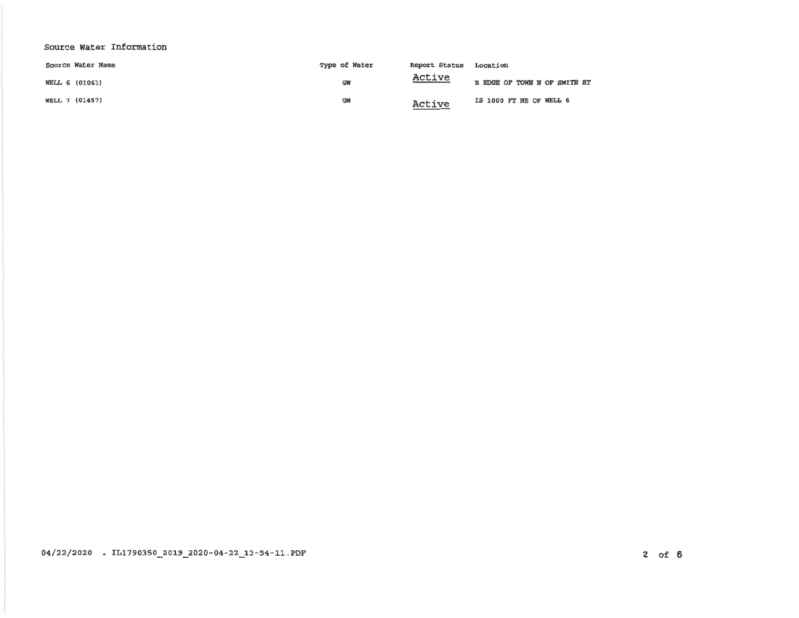# Source Water Information

|                | Source Water Name | Type of Water | Report Status | Location                     |
|----------------|-------------------|---------------|---------------|------------------------------|
| WELL 6 (01061) |                   | GW            | <u>Active</u> | E EDGE OF TOWN N OF SMITH ST |
| WELL 7 (01457) |                   | <b>GW</b>     | Active        | IS 1000 FT NE OF WELL 6      |

 $04/22/2020$  . IL1790350\_2019\_2020-04-22\_13-54-11 PDF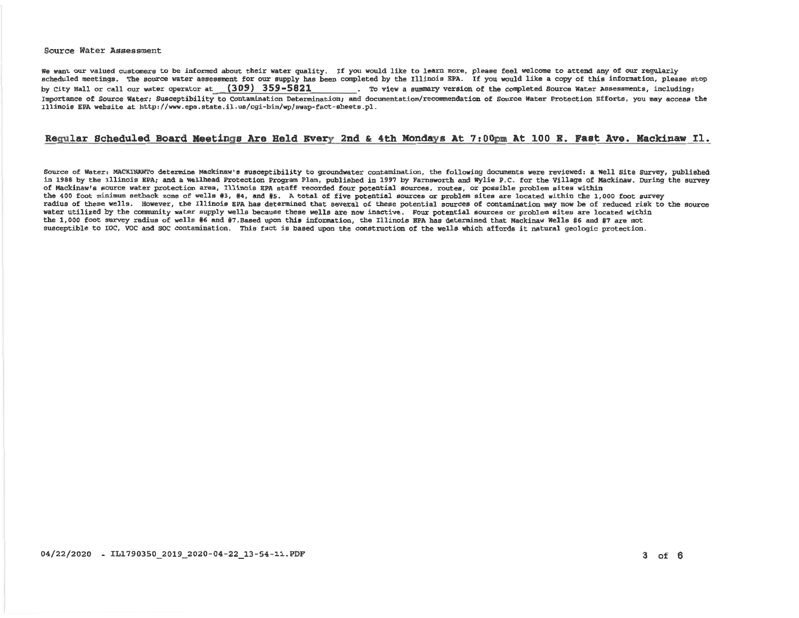#### Source Water Assessment

We want our valued customers to be informed about their water quality. If you would like to learn more, please feel welcome to attend any of our regularly scheduled meetings. The source water assessment for our supply has been completed by the Illinois EPA. If you would like a copy of this information, please stop . To view a summary version of the completed Source Water Assessments, including: by City Hall or call our water operator at (309) 359-5821 Importance of Source Water; Susceptibility to Contamination Determination, and documentation/recommendation of Source Water Protection Efforts, you may access the Illinois EPA website at http://www.epa.state.il.us/cgi-bin/wp/swap-fact-sheets.pl.

## Requiar Scheduled Board Meetings Are Held Every 2nd & 4th Mondays At 7:00pm At 100 E. Fast Ave. Mackinaw Il.

Source of Water: MACKINAWTo determine Mackinaw's susceptibility to groundwater contamination, the following documents were reviewed; a Well Site Survey, published in 1988 by the Illinois EPA; and a Wellhead Protection Program Plan, published in 1997 by Farnsworth and Wylie P.C. for the Village of Mackinaw. During the survey of Mackinaw's source water protection area, Illinois EPA staff recorded four potential sources, routes, or possible problem sites within the 400 foot minimum setback zone of wells #3, #4, and #5. A total of five potential sources or problem sites are located within the 1,000 foot survey radius of these wells. However, the Illinois EPA has determined that several of these potential sources of contamination may now be of reduced risk to the source water utilized by the community water supply wells because these wells are now inactive. Four potential sources or problem sites are located within the 1.000 foot survey radius of wells #6 and #7.Based upon this information, the Illinois BPA has determined that Mackinaw Wells #6 and #7 are not susceptible to TOC. VOC and SOC contamination. This fact is based upon the construction of the wells which affords it natural geologic protection.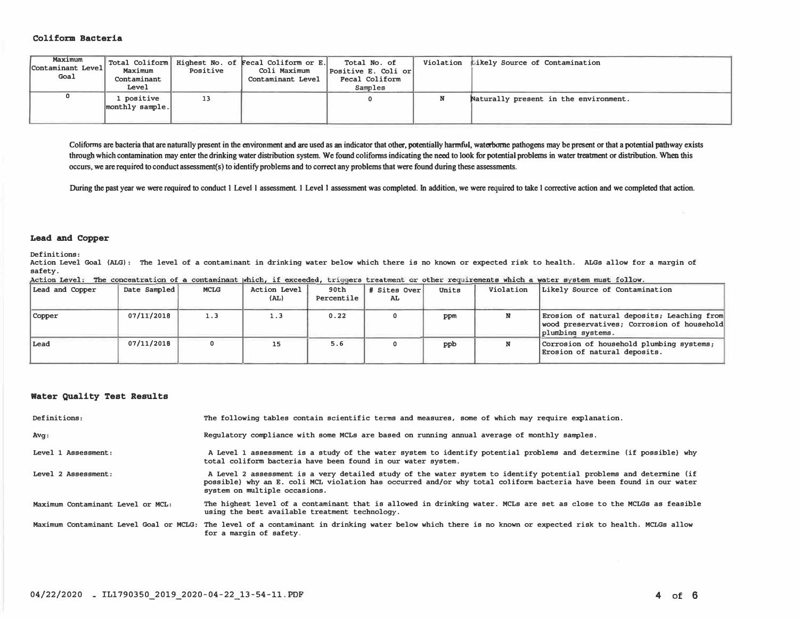## **Coliform Bacteria**

| Maximum<br>Contaminant Level<br>Goal | Maximum<br>Contaminant<br>Level | Positive | Total Coliform   Highest No. of Fecal Coliform or E.<br>Coli Maximum<br>Contaminant Level | Total No. of<br>Positive E. Coli or<br>Fecal Coliform<br>Samples | Violation Likely Source of Contamination |
|--------------------------------------|---------------------------------|----------|-------------------------------------------------------------------------------------------|------------------------------------------------------------------|------------------------------------------|
|                                      | . positive<br>monthly sample.   | 13       |                                                                                           |                                                                  | Naturally present in the environment.    |

Coliforms are bacteria that are naturally present in the environment and are used as an indicator that other, potentially harmful, waterborne pathogens may be present or that a potential pathway exists through which contamination may enter the drinking water distribution system. We found coliforms indicating the need to look for potential problems in water treatment or distribution. When this **occurs, we arerequired to conduct assessment(s) to identify problems and to correct any problems that were found during these assessments.** 

During the past year we were required to conduct 1 Level 1 assessment. 1 Level 1 assessment was completed. In addition, we were required to take 1 corrective action and we completed that action.

### **Lead and Copper**

Definitions:

Action Level Goal (ALG): The level of a contaminant in drinking water below which there is no known or expected risk to health. ALGs allow for a margin of safety.<br>Action Level: The concentration of a contaminant which, if exceeded, triggers treatment or other requirements which a water system must follow.

| Lead and Copper | Date Sampled | <b>MCLG</b> | Action Level<br>(AL) | 90th<br>Percentile | # Sites Over<br>AL | Units | Violation | Likely Source of Contamination                                                                                |
|-----------------|--------------|-------------|----------------------|--------------------|--------------------|-------|-----------|---------------------------------------------------------------------------------------------------------------|
| Copper          | 07/11/2018   | 1.3         | 1.3                  | 0.22               |                    | ppm   |           | Erosion of natural deposits; Leaching from<br>wood preservatives; Corrosion of household<br>plumbing systems. |
| Lead            | 07/11/2018   |             | 15                   | 5.6                |                    | ppb   |           | Corrosion of household plumbing systems;<br>Erosion of natural deposits.                                      |

## **Water Quality Test Results**

| Definitions:                      | The following tables contain scientific terms and measures, some of which may require explanation.                                                                                                                                                                         |
|-----------------------------------|----------------------------------------------------------------------------------------------------------------------------------------------------------------------------------------------------------------------------------------------------------------------------|
| Avg:                              | Requlatory compliance with some MCLs are based on running annual average of monthly samples.                                                                                                                                                                               |
| Level 1 Assessment:               | A Level 1 assessment is a study of the water system to identify potential problems and determine (if possible) why<br>total coliform bacteria have been found in our water system.                                                                                         |
| Level 2 Assessment:               | A Level 2 assessment is a very detailed study of the water system to identify potential problems and determine (if<br>possible) why an E. coli MCL violation has occurred and/or why total coliform bacteria have been found in our water<br>system on multiple occasions. |
| Maximum Contaminant Level or MCL: | The highest level of a contaminant that is allowed in drinking water. MCLs are set as close to the MCLGs as feasible<br>using the best available treatment technology.                                                                                                     |
|                                   | Maximum Contaminant Level Goal or MCLG: The level of a contaminant in drinking water below which there is no known or expected risk to health. MCLGs allow<br>for a margin of safety.                                                                                      |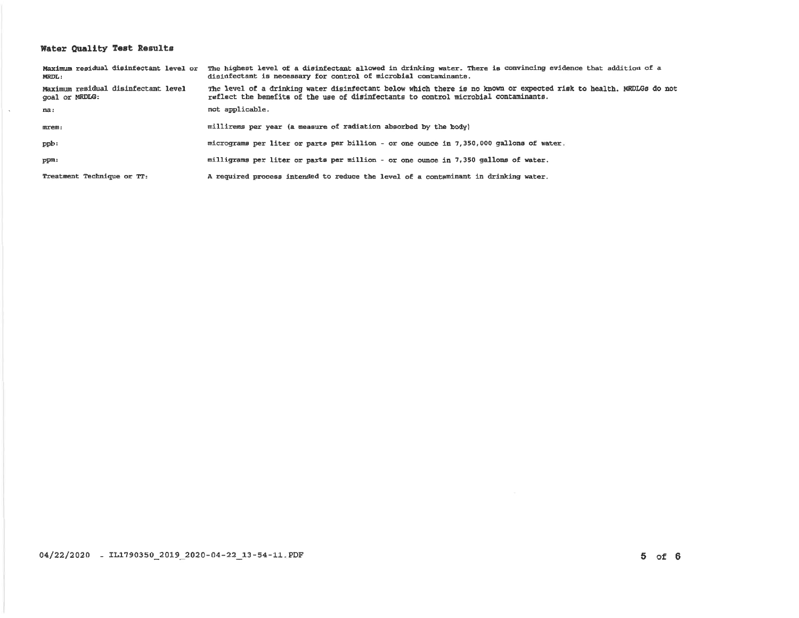# Water Quality Test Results

| <b>MRDL:</b>                                          | Maximum residual disinfectant level or The highest level of a disinfectant allowed in drinking water. There is convincing evidence that addition of a<br>disinfectant is necessary for control of microbial contaminants. |
|-------------------------------------------------------|---------------------------------------------------------------------------------------------------------------------------------------------------------------------------------------------------------------------------|
| Maximum residual disinfectant level<br>goal or MRDLG: | The level of a drinking water disinfectant below which there is no known or expected risk to health. MRDLGs do not<br>reflect the benefits of the use of disinfectants to control microbial contaminants.                 |
| na:                                                   | not applicable.                                                                                                                                                                                                           |
| mrem:                                                 | millirems per year (a measure of radiation absorbed by the body)                                                                                                                                                          |
| ppb:                                                  | micrograms per liter or parts per billion - or one ounce in 7,350,000 gallons of water.                                                                                                                                   |
| ppm:                                                  | milligrams per liter or parts per million - or one ounce in 7,350 gallons of water.                                                                                                                                       |
| Treatment Technique or TT:                            | A required process intended to reduce the level of a contaminant in drinking water.                                                                                                                                       |